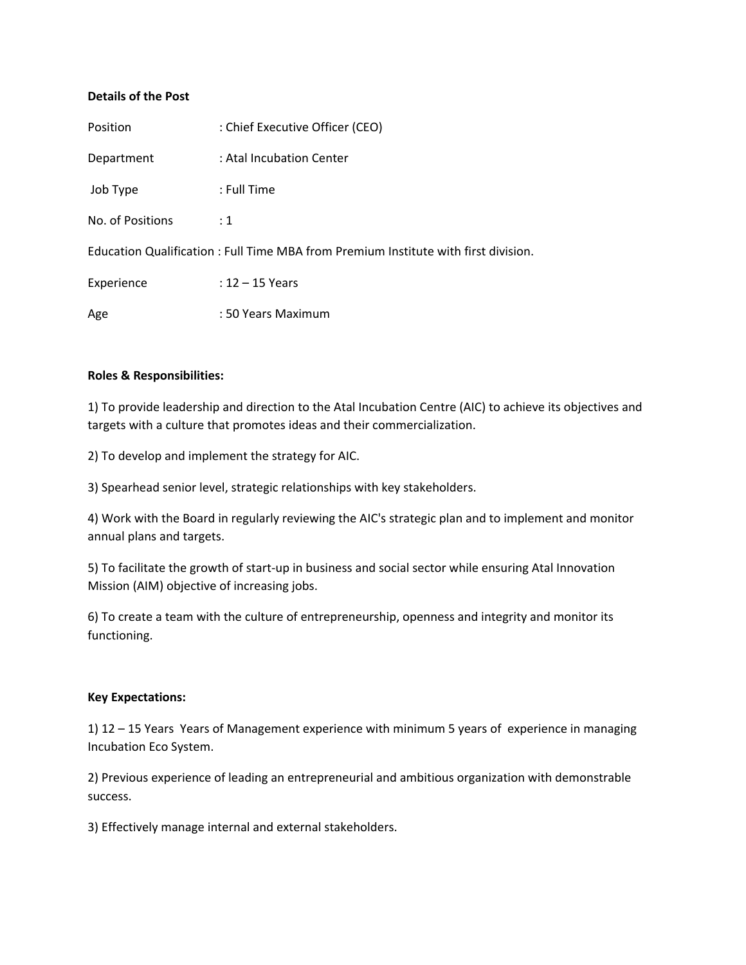## **Details of the Post**

| Position                                                                           | : Chief Executive Officer (CEO) |
|------------------------------------------------------------------------------------|---------------------------------|
| Department                                                                         | : Atal Incubation Center        |
| Job Type                                                                           | : Full Time                     |
| No. of Positions                                                                   | $\div 1$                        |
| Education Qualification: Full Time MBA from Premium Institute with first division. |                                 |
| Experience                                                                         | $: 12 - 15$ Years               |
| Age                                                                                | : 50 Years Maximum              |

## **Roles & Responsibilities:**

1) To provide leadership and direction to the Atal Incubation Centre (AIC) to achieve its objectives and targets with a culture that promotes ideas and their commercialization.

2) To develop and implement the strategy for AIC.

3) Spearhead senior level, strategic relationships with key stakeholders.

4) Work with the Board in regularly reviewing the AIC's strategic plan and to implement and monitor annual plans and targets.

5) To facilitate the growth of start-up in business and social sector while ensuring Atal Innovation Mission (AIM) objective of increasing jobs.

6) To create a team with the culture of entrepreneurship, openness and integrity and monitor its functioning.

#### **Key Expectations:**

1) 12 – 15 Years Years of Management experience with minimum 5 years of experience in managing Incubation Eco System.

2) Previous experience of leading an entrepreneurial and ambitious organization with demonstrable success.

3) Effectively manage internal and external stakeholders.